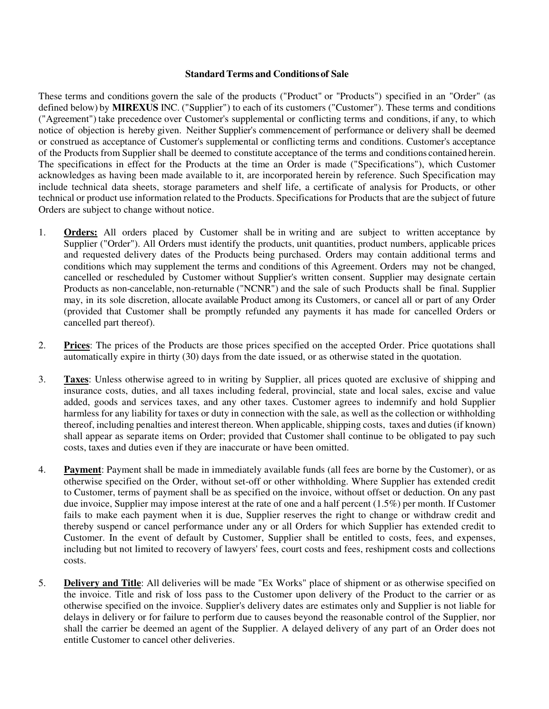#### **Standard Terms and Conditions of Sale**

These terms and conditions govern the sale of the products ("Product" or "Products") specified in an "Order" (as defined below) by **MIREXUS** INC. ("Supplier") to each of its customers ("Customer"). These terms and conditions ("Agreement") take precedence over Customer's supplemental or conflicting terms and conditions, if any, to which notice of objection is hereby given. Neither Supplier's commencement of performance or delivery shall be deemed or construed as acceptance of Customer's supplemental or conflicting terms and conditions. Customer's acceptance of the Products from Supplier shall be deemed to constitute acceptance of the terms and conditions contained herein. The specifications in effect for the Products at the time an Order is made ("Specifications"), which Customer acknowledges as having been made available to it, are incorporated herein by reference. Such Specification may include technical data sheets, storage parameters and shelf life, a certificate of analysis for Products, or other technical or product use information related to the Products. Specifications for Products that are the subject of future Orders are subject to change without notice.

- 1. **Orders:** All orders placed by Customer shall be in writing and are subject to written acceptance by Supplier ("Order"). All Orders must identify the products, unit quantities, product numbers, applicable prices and requested delivery dates of the Products being purchased. Orders may contain additional terms and conditions which may supplement the terms and conditions of this Agreement. Orders may not be changed, cancelled or rescheduled by Customer without Supplier's written consent. Supplier may designate certain Products as non-cancelable, non-returnable ("NCNR") and the sale of such Products shall be final. Supplier may, in its sole discretion, allocate available Product among its Customers, or cancel all or part of any Order (provided that Customer shall be promptly refunded any payments it has made for cancelled Orders or cancelled part thereof).
- 2. **Prices**: The prices of the Products are those prices specified on the accepted Order. Price quotations shall automatically expire in thirty (30) days from the date issued, or as otherwise stated in the quotation.
- 3. **Taxes**: Unless otherwise agreed to in writing by Supplier, all prices quoted are exclusive of shipping and insurance costs, duties, and all taxes including federal, provincial, state and local sales, excise and value added, goods and services taxes, and any other taxes. Customer agrees to indemnify and hold Supplier harmless for any liability for taxes or duty in connection with the sale, as well as the collection or withholding thereof, including penalties and interest thereon. When applicable, shipping costs, taxes and duties (if known) shall appear as separate items on Order; provided that Customer shall continue to be obligated to pay such costs, taxes and duties even if they are inaccurate or have been omitted.
- 4. **Payment**: Payment shall be made in immediately available funds (all fees are borne by the Customer), or as otherwise specified on the Order, without set-off or other withholding. Where Supplier has extended credit to Customer, terms of payment shall be as specified on the invoice, without offset or deduction. On any past due invoice, Supplier may impose interest at the rate of one and a half percent (1.5%) per month. If Customer fails to make each payment when it is due, Supplier reserves the right to change or withdraw credit and thereby suspend or cancel performance under any or all Orders for which Supplier has extended credit to Customer. In the event of default by Customer, Supplier shall be entitled to costs, fees, and expenses, including but not limited to recovery of lawyers' fees, court costs and fees, reshipment costs and collections costs.
- 5. **Delivery and Title**: All deliveries will be made "Ex Works" place of shipment or as otherwise specified on the invoice. Title and risk of loss pass to the Customer upon delivery of the Product to the carrier or as otherwise specified on the invoice. Supplier's delivery dates are estimates only and Supplier is not liable for delays in delivery or for failure to perform due to causes beyond the reasonable control of the Supplier, nor shall the carrier be deemed an agent of the Supplier. A delayed delivery of any part of an Order does not entitle Customer to cancel other deliveries.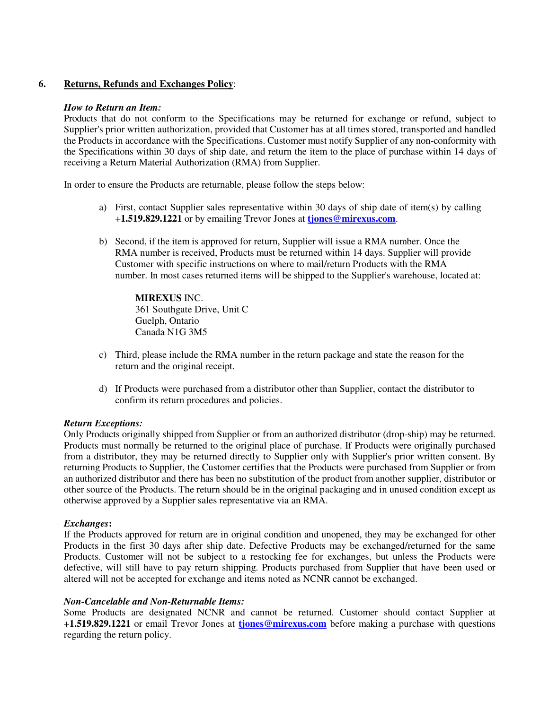# **6. Returns, Refunds and Exchanges Policy**:

#### *How to Return an Item:*

Products that do not conform to the Specifications may be returned for exchange or refund, subject to Supplier's prior written authorization, provided that Customer has at all times stored, transported and handled the Products in accordance with the Specifications. Customer must notify Supplier of any non-conformity with the Specifications within 30 days of ship date, and return the item to the place of purchase within 14 days of receiving a Return Material Authorization (RMA) from Supplier.

In order to ensure the Products are returnable, please follow the steps below:

- a) First, contact Supplier sales representative within 30 days of ship date of item(s) by calling +**1.519.829.1221** or by emailing Trevor Jones at **tjones@mirexus.com**.
- b) Second, if the item is approved for return, Supplier will issue a RMA number. Once the RMA number is received, Products must be returned within 14 days. Supplier will provide Customer with specific instructions on where to mail/return Products with the RMA number. In most cases returned items will be shipped to the Supplier's warehouse, located at:

**MIREXUS** INC. 361 Southgate Drive, Unit C Guelph, Ontario Canada N1G 3M5

- c) Third, please include the RMA number in the return package and state the reason for the return and the original receipt.
- d) If Products were purchased from a distributor other than Supplier, contact the distributor to confirm its return procedures and policies.

## *Return Exceptions:*

Only Products originally shipped from Supplier or from an authorized distributor (drop-ship) may be returned. Products must normally be returned to the original place of purchase. If Products were originally purchased from a distributor, they may be returned directly to Supplier only with Supplier's prior written consent. By returning Products to Supplier, the Customer certifies that the Products were purchased from Supplier or from an authorized distributor and there has been no substitution of the product from another supplier, distributor or other source of the Products. The return should be in the original packaging and in unused condition except as otherwise approved by a Supplier sales representative via an RMA.

## *Exchanges***:**

If the Products approved for return are in original condition and unopened, they may be exchanged for other Products in the first 30 days after ship date. Defective Products may be exchanged/returned for the same Products. Customer will not be subject to a restocking fee for exchanges, but unless the Products were defective, will still have to pay return shipping. Products purchased from Supplier that have been used or altered will not be accepted for exchange and items noted as NCNR cannot be exchanged.

#### *Non-Cancelable and Non-Returnable Items:*

Some Products are designated NCNR and cannot be returned. Customer should contact Supplier at +**1.519.829.1221** or email Trevor Jones at **tjones@mirexus.com** before making a purchase with questions regarding the return policy.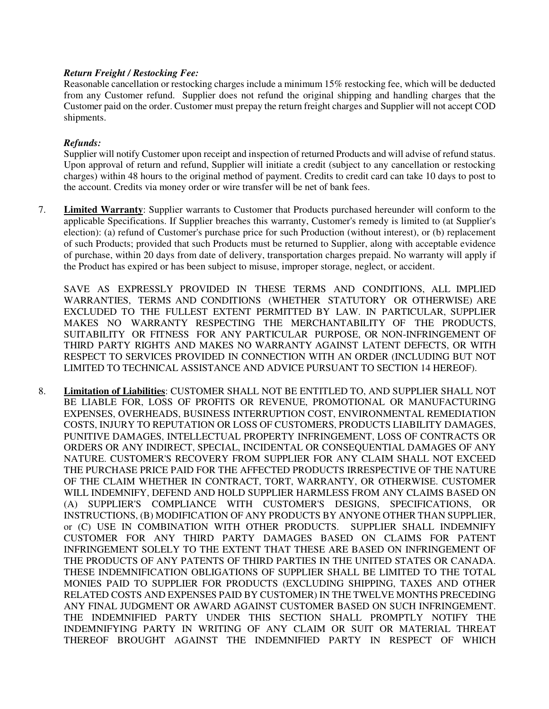## *Return Freight / Restocking Fee:*

Reasonable cancellation or restocking charges include a minimum 15% restocking fee, which will be deducted from any Customer refund. Supplier does not refund the original shipping and handling charges that the Customer paid on the order. Customer must prepay the return freight charges and Supplier will not accept COD shipments.

# *Refunds:*

Supplier will notify Customer upon receipt and inspection of returned Products and will advise of refund status. Upon approval of return and refund, Supplier will initiate a credit (subject to any cancellation or restocking charges) within 48 hours to the original method of payment. Credits to credit card can take 10 days to post to the account. Credits via money order or wire transfer will be net of bank fees.

7. **Limited Warranty**: Supplier warrants to Customer that Products purchased hereunder will conform to the applicable Specifications. If Supplier breaches this warranty, Customer's remedy is limited to (at Supplier's election): (a) refund of Customer's purchase price for such Production (without interest), or (b) replacement of such Products; provided that such Products must be returned to Supplier, along with acceptable evidence of purchase, within 20 days from date of delivery, transportation charges prepaid. No warranty will apply if the Product has expired or has been subject to misuse, improper storage, neglect, or accident.

SAVE AS EXPRESSLY PROVIDED IN THESE TERMS AND CONDITIONS, ALL IMPLIED WARRANTIES, TERMS AND CONDITIONS (WHETHER STATUTORY OR OTHERWISE) ARE EXCLUDED TO THE FULLEST EXTENT PERMITTED BY LAW. IN PARTICULAR, SUPPLIER MAKES NO WARRANTY RESPECTING THE MERCHANTABILITY OF THE PRODUCTS, SUITABILITY OR FITNESS FOR ANY PARTICULAR PURPOSE, OR NON-INFRINGEMENT OF THIRD PARTY RIGHTS AND MAKES NO WARRANTY AGAINST LATENT DEFECTS, OR WITH RESPECT TO SERVICES PROVIDED IN CONNECTION WITH AN ORDER (INCLUDING BUT NOT LIMITED TO TECHNICAL ASSISTANCE AND ADVICE PURSUANT TO SECTION 14 HEREOF).

8. **Limitation of Liabilities**: CUSTOMER SHALL NOT BE ENTITLED TO, AND SUPPLIER SHALL NOT BE LIABLE FOR, LOSS OF PROFITS OR REVENUE, PROMOTIONAL OR MANUFACTURING EXPENSES, OVERHEADS, BUSINESS INTERRUPTION COST, ENVIRONMENTAL REMEDIATION COSTS, INJURY TO REPUTATION OR LOSS OF CUSTOMERS, PRODUCTS LIABILITY DAMAGES, PUNITIVE DAMAGES, INTELLECTUAL PROPERTY INFRINGEMENT, LOSS OF CONTRACTS OR ORDERS OR ANY INDIRECT, SPECIAL, INCIDENTAL OR CONSEQUENTIAL DAMAGES OF ANY NATURE. CUSTOMER'S RECOVERY FROM SUPPLIER FOR ANY CLAIM SHALL NOT EXCEED THE PURCHASE PRICE PAID FOR THE AFFECTED PRODUCTS IRRESPECTIVE OF THE NATURE OF THE CLAIM WHETHER IN CONTRACT, TORT, WARRANTY, OR OTHERWISE. CUSTOMER WILL INDEMNIFY, DEFEND AND HOLD SUPPLIER HARMLESS FROM ANY CLAIMS BASED ON (A) SUPPLIER'S COMPLIANCE WITH CUSTOMER'S DESIGNS, SPECIFICATIONS, OR INSTRUCTIONS, (B) MODIFICATION OF ANY PRODUCTS BY ANYONE OTHER THAN SUPPLIER, or (C) USE IN COMBINATION WITH OTHER PRODUCTS. SUPPLIER SHALL INDEMNIFY CUSTOMER FOR ANY THIRD PARTY DAMAGES BASED ON CLAIMS FOR PATENT INFRINGEMENT SOLELY TO THE EXTENT THAT THESE ARE BASED ON INFRINGEMENT OF THE PRODUCTS OF ANY PATENTS OF THIRD PARTIES IN THE UNITED STATES OR CANADA. THESE INDEMNIFICATION OBLIGATIONS OF SUPPLIER SHALL BE LIMITED TO THE TOTAL MONIES PAID TO SUPPLIER FOR PRODUCTS (EXCLUDING SHIPPING, TAXES AND OTHER RELATED COSTS AND EXPENSES PAID BY CUSTOMER) IN THE TWELVE MONTHS PRECEDING ANY FINAL JUDGMENT OR AWARD AGAINST CUSTOMER BASED ON SUCH INFRINGEMENT. THE INDEMNIFIED PARTY UNDER THIS SECTION SHALL PROMPTLY NOTIFY THE INDEMNIFYING PARTY IN WRITING OF ANY CLAIM OR SUIT OR MATERIAL THREAT THEREOF BROUGHT AGAINST THE INDEMNIFIED PARTY IN RESPECT OF WHICH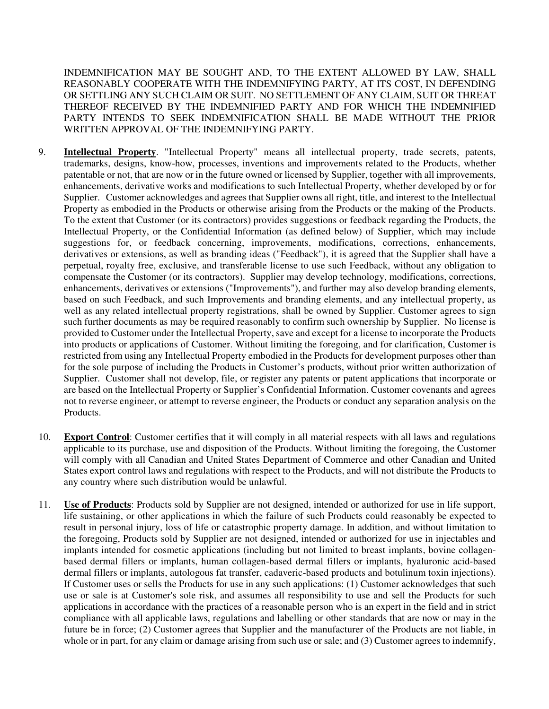INDEMNIFICATION MAY BE SOUGHT AND, TO THE EXTENT ALLOWED BY LAW, SHALL REASONABLY COOPERATE WITH THE INDEMNIFYING PARTY, AT ITS COST, IN DEFENDING OR SETTLING ANY SUCH CLAIM OR SUIT. NO SETTLEMENT OF ANY CLAIM, SUIT OR THREAT THEREOF RECEIVED BY THE INDEMNIFIED PARTY AND FOR WHICH THE INDEMNIFIED PARTY INTENDS TO SEEK INDEMNIFICATION SHALL BE MADE WITHOUT THE PRIOR WRITTEN APPROVAL OF THE INDEMNIFYING PARTY.

- 9. **Intellectual Property**. "Intellectual Property" means all intellectual property, trade secrets, patents, trademarks, designs, know-how, processes, inventions and improvements related to the Products, whether patentable or not, that are now or in the future owned or licensed by Supplier, together with all improvements, enhancements, derivative works and modifications to such Intellectual Property, whether developed by or for Supplier. Customer acknowledges and agrees that Supplier owns all right, title, and interest to the Intellectual Property as embodied in the Products or otherwise arising from the Products or the making of the Products. To the extent that Customer (or its contractors) provides suggestions or feedback regarding the Products, the Intellectual Property, or the Confidential Information (as defined below) of Supplier, which may include suggestions for, or feedback concerning, improvements, modifications, corrections, enhancements, derivatives or extensions, as well as branding ideas ("Feedback"), it is agreed that the Supplier shall have a perpetual, royalty free, exclusive, and transferable license to use such Feedback, without any obligation to compensate the Customer (or its contractors). Supplier may develop technology, modifications, corrections, enhancements, derivatives or extensions ("Improvements"), and further may also develop branding elements, based on such Feedback, and such Improvements and branding elements, and any intellectual property, as well as any related intellectual property registrations, shall be owned by Supplier. Customer agrees to sign such further documents as may be required reasonably to confirm such ownership by Supplier. No license is provided to Customer under the Intellectual Property, save and except for a license to incorporate the Products into products or applications of Customer. Without limiting the foregoing, and for clarification, Customer is restricted from using any Intellectual Property embodied in the Products for development purposes other than for the sole purpose of including the Products in Customer's products, without prior written authorization of Supplier. Customer shall not develop, file, or register any patents or patent applications that incorporate or are based on the Intellectual Property or Supplier's Confidential Information. Customer covenants and agrees not to reverse engineer, or attempt to reverse engineer, the Products or conduct any separation analysis on the Products.
- 10. **Export Control**: Customer certifies that it will comply in all material respects with all laws and regulations applicable to its purchase, use and disposition of the Products. Without limiting the foregoing, the Customer will comply with all Canadian and United States Department of Commerce and other Canadian and United States export control laws and regulations with respect to the Products, and will not distribute the Products to any country where such distribution would be unlawful.
- 11. **Use of Products**: Products sold by Supplier are not designed, intended or authorized for use in life support, life sustaining, or other applications in which the failure of such Products could reasonably be expected to result in personal injury, loss of life or catastrophic property damage. In addition, and without limitation to the foregoing, Products sold by Supplier are not designed, intended or authorized for use in injectables and implants intended for cosmetic applications (including but not limited to breast implants, bovine collagenbased dermal fillers or implants, human collagen-based dermal fillers or implants, hyaluronic acid-based dermal fillers or implants, autologous fat transfer, cadaveric-based products and botulinum toxin injections). If Customer uses or sells the Products for use in any such applications: (1) Customer acknowledges that such use or sale is at Customer's sole risk, and assumes all responsibility to use and sell the Products for such applications in accordance with the practices of a reasonable person who is an expert in the field and in strict compliance with all applicable laws, regulations and labelling or other standards that are now or may in the future be in force; (2) Customer agrees that Supplier and the manufacturer of the Products are not liable, in whole or in part, for any claim or damage arising from such use or sale; and (3) Customer agrees to indemnify,